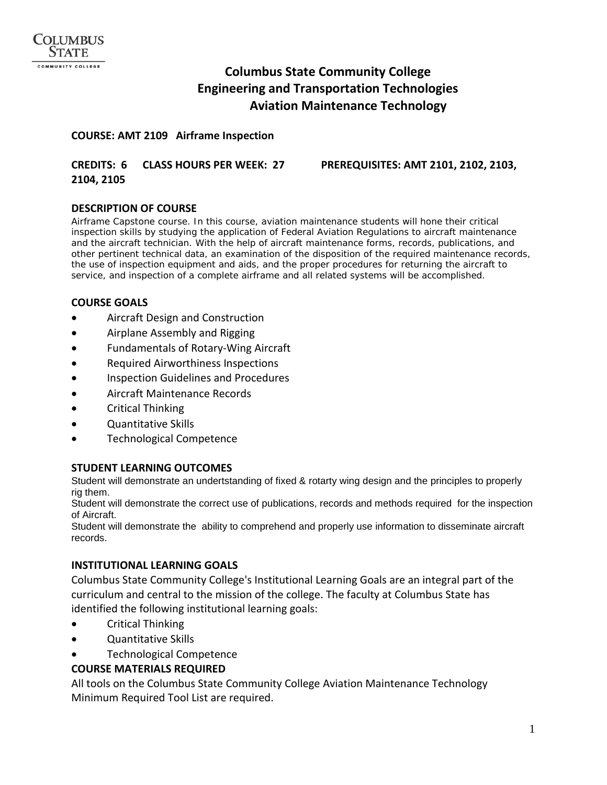# **Columbus State Community College Engineering and Transportation Technologies Aviation Maintenance Technology**

#### **COURSE: AMT 2109 Airframe Inspection**

#### **CREDITS: 6 CLASS HOURS PER WEEK: 27 PREREQUISITES: AMT 2101, 2102, 2103, 2104, 2105**

#### **DESCRIPTION OF COURSE**

Airframe Capstone course. In this course, aviation maintenance students will hone their critical inspection skills by studying the application of Federal Aviation Regulations to aircraft maintenance and the aircraft technician. With the help of aircraft maintenance forms, records, publications, and other pertinent technical data, an examination of the disposition of the required maintenance records, the use of inspection equipment and aids, and the proper procedures for returning the aircraft to service, and inspection of a complete airframe and all related systems will be accomplished.

## **COURSE GOALS**

- Aircraft Design and Construction
- Airplane Assembly and Rigging
- Fundamentals of Rotary-Wing Aircraft
- Required Airworthiness Inspections
- Inspection Guidelines and Procedures
- Aircraft Maintenance Records
- Critical Thinking
- Quantitative Skills
- Technological Competence

#### **STUDENT LEARNING OUTCOMES**

Student will demonstrate an undertstanding of fixed & rotarty wing design and the principles to properly rig them.

Student will demonstrate the correct use of publications, records and methods required for the inspection of Aircraft.

Student will demonstrate the ability to comprehend and properly use information to disseminate aircraft records.

#### **INSTITUTIONAL LEARNING GOALS**

Columbus State Community College's Institutional Learning Goals are an integral part of the curriculum and central to the mission of the college. The faculty at Columbus State has identified the following institutional learning goals:

- Critical Thinking
- Quantitative Skills
- Technological Competence

# **COURSE MATERIALS REQUIRED**

All tools on the Columbus State Community College Aviation Maintenance Technology Minimum Required Tool List are required.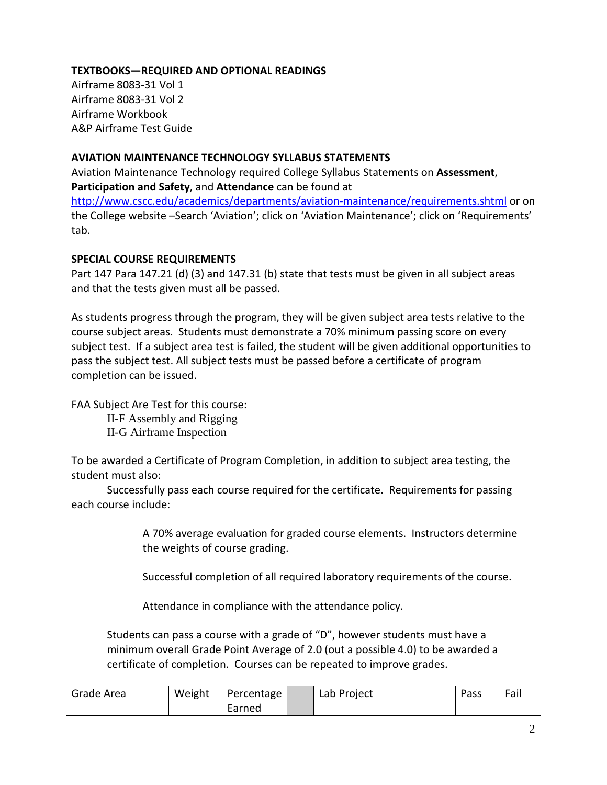# **TEXTBOOKS—REQUIRED AND OPTIONAL READINGS**

Airframe 8083-31 Vol 1 Airframe 8083-31 Vol 2 Airframe Workbook A&P Airframe Test Guide

## **AVIATION MAINTENANCE TECHNOLOGY SYLLABUS STATEMENTS**

Aviation Maintenance Technology required College Syllabus Statements on **Assessment**, **Participation and Safety**, and **Attendance** can be found at

<http://www.cscc.edu/academics/departments/aviation-maintenance/requirements.shtml> or on the College website –Search 'Aviation'; click on 'Aviation Maintenance'; click on 'Requirements' tab.

## **SPECIAL COURSE REQUIREMENTS**

Part 147 Para 147.21 (d) (3) and 147.31 (b) state that tests must be given in all subject areas and that the tests given must all be passed.

As students progress through the program, they will be given subject area tests relative to the course subject areas. Students must demonstrate a 70% minimum passing score on every subject test. If a subject area test is failed, the student will be given additional opportunities to pass the subject test. All subject tests must be passed before a certificate of program completion can be issued.

FAA Subject Are Test for this course:

II-F Assembly and Rigging II-G Airframe Inspection

To be awarded a Certificate of Program Completion, in addition to subject area testing, the student must also:

Successfully pass each course required for the certificate. Requirements for passing each course include:

> A 70% average evaluation for graded course elements. Instructors determine the weights of course grading.

Successful completion of all required laboratory requirements of the course.

Attendance in compliance with the attendance policy.

Students can pass a course with a grade of "D", however students must have a minimum overall Grade Point Average of 2.0 (out a possible 4.0) to be awarded a certificate of completion. Courses can be repeated to improve grades.

| Grade Area | Weight | Percentage | Lab Project | Pass | Fail |
|------------|--------|------------|-------------|------|------|
|            |        | Earned     |             |      |      |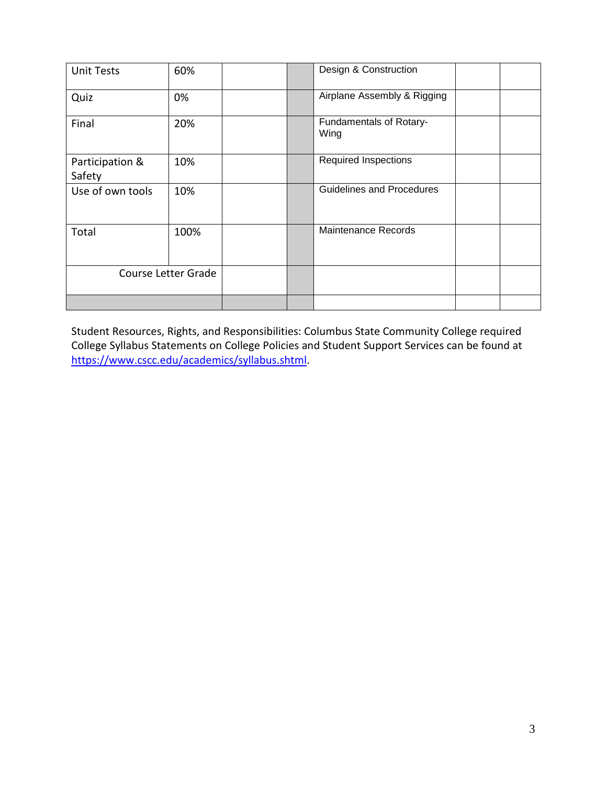| <b>Unit Tests</b>         | 60%  | Design & Construction     |                                 |  |  |
|---------------------------|------|---------------------------|---------------------------------|--|--|
| Quiz                      | 0%   |                           | Airplane Assembly & Rigging     |  |  |
| Final                     | 20%  |                           | Fundamentals of Rotary-<br>Wing |  |  |
| Participation &<br>Safety | 10%  |                           | <b>Required Inspections</b>     |  |  |
| Use of own tools          | 10%  | Guidelines and Procedures |                                 |  |  |
| Total                     | 100% |                           | Maintenance Records             |  |  |
| Course Letter Grade       |      |                           |                                 |  |  |
|                           |      |                           |                                 |  |  |

Student Resources, Rights, and Responsibilities: Columbus State Community College required College Syllabus Statements on College Policies and Student Support Services can be found at [https://www.cscc.edu/academics/syllabus.shtml.](https://www.cscc.edu/academics/syllabus.shtml)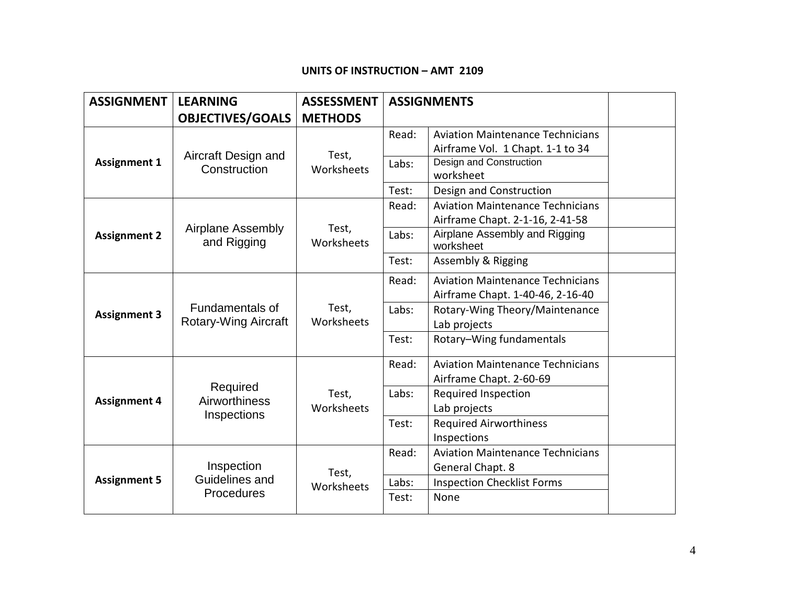#### **UNITS OF INSTRUCTION – AMT 2109**

| <b>ASSIGNMENT</b>   | <b>LEARNING</b>                                   | <b>ASSESSMENT</b>   | <b>ASSIGNMENTS</b> |                                            |  |
|---------------------|---------------------------------------------------|---------------------|--------------------|--------------------------------------------|--|
|                     | <b>OBJECTIVES/GOALS</b>                           | <b>METHODS</b>      |                    |                                            |  |
|                     |                                                   | Test,<br>Worksheets | Read:              | <b>Aviation Maintenance Technicians</b>    |  |
|                     | Aircraft Design and                               |                     |                    | Airframe Vol. 1 Chapt. 1-1 to 34           |  |
| <b>Assignment 1</b> | Construction                                      |                     | Labs:              | Design and Construction<br>worksheet       |  |
|                     |                                                   |                     | Test:              | Design and Construction                    |  |
|                     | <b>Airplane Assembly</b><br>and Rigging           | Test,<br>Worksheets | Read:              | <b>Aviation Maintenance Technicians</b>    |  |
|                     |                                                   |                     |                    | Airframe Chapt. 2-1-16, 2-41-58            |  |
| <b>Assignment 2</b> |                                                   |                     | Labs:              | Airplane Assembly and Rigging<br>worksheet |  |
|                     |                                                   |                     | Test:              | <b>Assembly &amp; Rigging</b>              |  |
|                     | Fundamentals of<br>Rotary-Wing Aircraft           | Test,<br>Worksheets | Read:              | <b>Aviation Maintenance Technicians</b>    |  |
|                     |                                                   |                     |                    | Airframe Chapt. 1-40-46, 2-16-40           |  |
| <b>Assignment 3</b> |                                                   |                     | Labs:              | Rotary-Wing Theory/Maintenance             |  |
|                     |                                                   |                     |                    | Lab projects                               |  |
|                     |                                                   |                     | Test:              | Rotary-Wing fundamentals                   |  |
|                     | Required<br>Airworthiness<br>Inspections          | Test,<br>Worksheets | Read:              | <b>Aviation Maintenance Technicians</b>    |  |
|                     |                                                   |                     |                    | Airframe Chapt. 2-60-69                    |  |
| <b>Assignment 4</b> |                                                   |                     | Labs:              | <b>Required Inspection</b>                 |  |
|                     |                                                   |                     |                    | Lab projects                               |  |
|                     |                                                   |                     | Test:              | <b>Required Airworthiness</b>              |  |
|                     |                                                   |                     |                    | Inspections                                |  |
| <b>Assignment 5</b> | Inspection<br>Guidelines and<br><b>Procedures</b> | Test,<br>Worksheets | Read:              | <b>Aviation Maintenance Technicians</b>    |  |
|                     |                                                   |                     |                    | General Chapt. 8                           |  |
|                     |                                                   |                     | Labs:              | <b>Inspection Checklist Forms</b>          |  |
|                     |                                                   |                     | Test:              | None                                       |  |